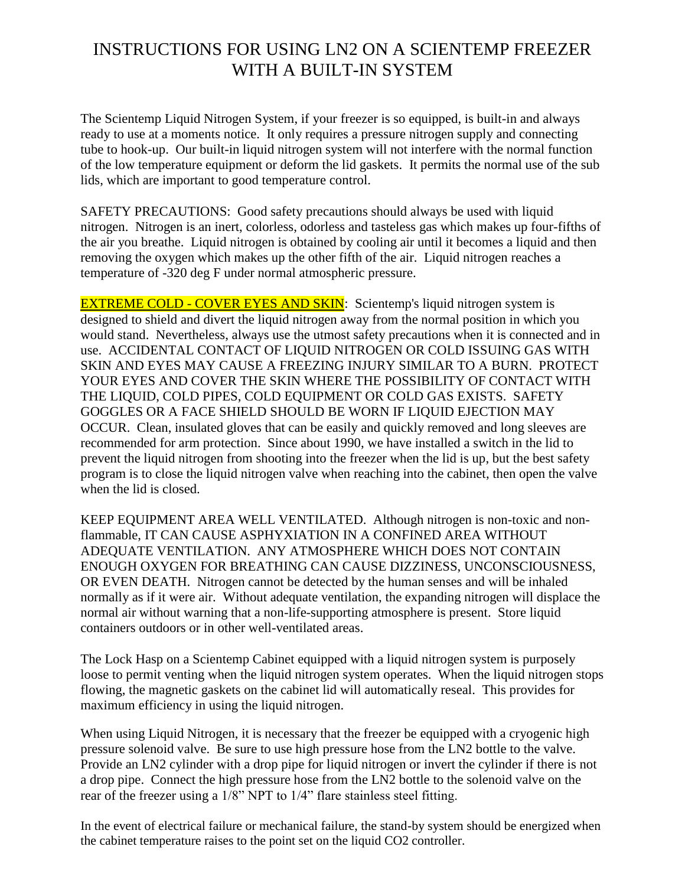## INSTRUCTIONS FOR USING LN2 ON A SCIENTEMP FREEZER WITH A BUILT-IN SYSTEM

The Scientemp Liquid Nitrogen System, if your freezer is so equipped, is built-in and always ready to use at a moments notice. It only requires a pressure nitrogen supply and connecting tube to hook-up. Our built-in liquid nitrogen system will not interfere with the normal function of the low temperature equipment or deform the lid gaskets. It permits the normal use of the sub lids, which are important to good temperature control.

SAFETY PRECAUTIONS: Good safety precautions should always be used with liquid nitrogen. Nitrogen is an inert, colorless, odorless and tasteless gas which makes up four-fifths of the air you breathe. Liquid nitrogen is obtained by cooling air until it becomes a liquid and then removing the oxygen which makes up the other fifth of the air. Liquid nitrogen reaches a temperature of -320 deg F under normal atmospheric pressure.

**EXTREME COLD - COVER EYES AND SKIN:** Scientemp's liquid nitrogen system is designed to shield and divert the liquid nitrogen away from the normal position in which you would stand. Nevertheless, always use the utmost safety precautions when it is connected and in use. ACCIDENTAL CONTACT OF LIQUID NITROGEN OR COLD ISSUING GAS WITH SKIN AND EYES MAY CAUSE A FREEZING INJURY SIMILAR TO A BURN. PROTECT YOUR EYES AND COVER THE SKIN WHERE THE POSSIBILITY OF CONTACT WITH THE LIQUID, COLD PIPES, COLD EQUIPMENT OR COLD GAS EXISTS. SAFETY GOGGLES OR A FACE SHIELD SHOULD BE WORN IF LIQUID EJECTION MAY OCCUR. Clean, insulated gloves that can be easily and quickly removed and long sleeves are recommended for arm protection. Since about 1990, we have installed a switch in the lid to prevent the liquid nitrogen from shooting into the freezer when the lid is up, but the best safety program is to close the liquid nitrogen valve when reaching into the cabinet, then open the valve when the lid is closed.

KEEP EQUIPMENT AREA WELL VENTILATED. Although nitrogen is non-toxic and nonflammable, IT CAN CAUSE ASPHYXIATION IN A CONFINED AREA WITHOUT ADEQUATE VENTILATION. ANY ATMOSPHERE WHICH DOES NOT CONTAIN ENOUGH OXYGEN FOR BREATHING CAN CAUSE DIZZINESS, UNCONSCIOUSNESS, OR EVEN DEATH. Nitrogen cannot be detected by the human senses and will be inhaled normally as if it were air. Without adequate ventilation, the expanding nitrogen will displace the normal air without warning that a non-life-supporting atmosphere is present. Store liquid containers outdoors or in other well-ventilated areas.

The Lock Hasp on a Scientemp Cabinet equipped with a liquid nitrogen system is purposely loose to permit venting when the liquid nitrogen system operates. When the liquid nitrogen stops flowing, the magnetic gaskets on the cabinet lid will automatically reseal. This provides for maximum efficiency in using the liquid nitrogen.

When using Liquid Nitrogen, it is necessary that the freezer be equipped with a cryogenic high pressure solenoid valve. Be sure to use high pressure hose from the LN2 bottle to the valve. Provide an LN2 cylinder with a drop pipe for liquid nitrogen or invert the cylinder if there is not a drop pipe. Connect the high pressure hose from the LN2 bottle to the solenoid valve on the rear of the freezer using a 1/8" NPT to 1/4" flare stainless steel fitting.

In the event of electrical failure or mechanical failure, the stand-by system should be energized when the cabinet temperature raises to the point set on the liquid CO2 controller.